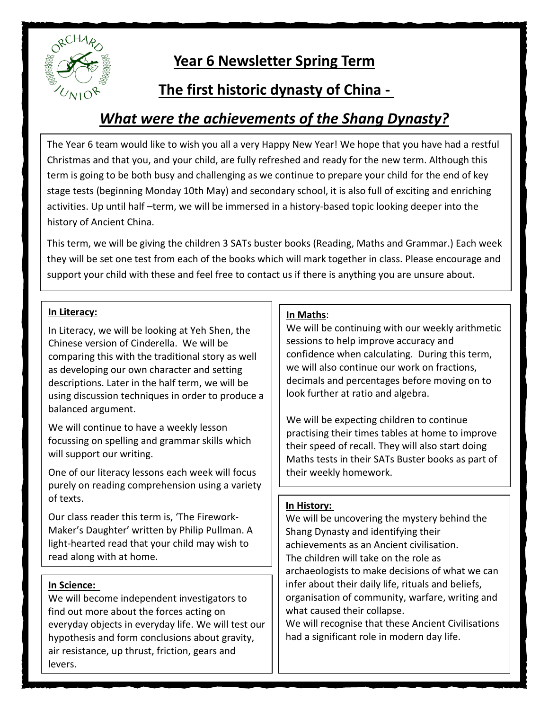

# **Year 6 Newsletter Spring Term**

# **The first historic dynasty of China -**

# *What were the achievements of the Shang Dynasty?*

The Year 6 team would like to wish you all a very Happy New Year! We hope that you have had a restful Christmas and that you, and your child, are fully refreshed and ready for the new term. Although this term is going to be both busy and challenging as we continue to prepare your child for the end of key stage tests (beginning Monday 10th May) and secondary school, it is also full of exciting and enriching activities. Up until half –term, we will be immersed in a history-based topic looking deeper into the history of Ancient China.

This term, we will be giving the children 3 SATs buster books (Reading, Maths and Grammar.) Each week they will be set one test from each of the books which will mark together in class. Please encourage and support your child with these and feel free to contact us if there is anything you are unsure about.

## **In Literacy:**

In Literacy, we will be looking at Yeh Shen, the Chinese version of Cinderella. We will be comparing this with the traditional story as well as developing our own character and setting descriptions. Later in the half term, we will be using discussion techniques in order to produce a balanced argument.

We will continue to have a weekly lesson focussing on spelling and grammar skills which will support our writing.

One of our literacy lessons each week will focus purely on reading comprehension using a variety of texts.

Our class reader this term is, 'The Firework-Maker's Daughter' written by Philip Pullman. A light-hearted read that your child may wish to read along with at home.

## **In Science:**

We will become independent investigators to find out more about the forces acting on everyday objects in everyday life. We will test our hypothesis and form conclusions about gravity, air resistance, up thrust, friction, gears and levers.

### **In Maths**:

We will be continuing with our weekly arithmetic sessions to help improve accuracy and confidence when calculating. During this term, we will also continue our work on fractions, decimals and percentages before moving on to look further at ratio and algebra.

We will be expecting children to continue practising their times tables at home to improve their speed of recall. They will also start doing Maths tests in their SATs Buster books as part of their weekly homework.

## **In History:**

We will be uncovering the mystery behind the Shang Dynasty and identifying their achievements as an Ancient civilisation. The children will take on the role as archaeologists to make decisions of what we can infer about their daily life, rituals and beliefs, organisation of community, warfare, writing and what caused their collapse.

We will recognise that these Ancient Civilisations had a significant role in modern day life.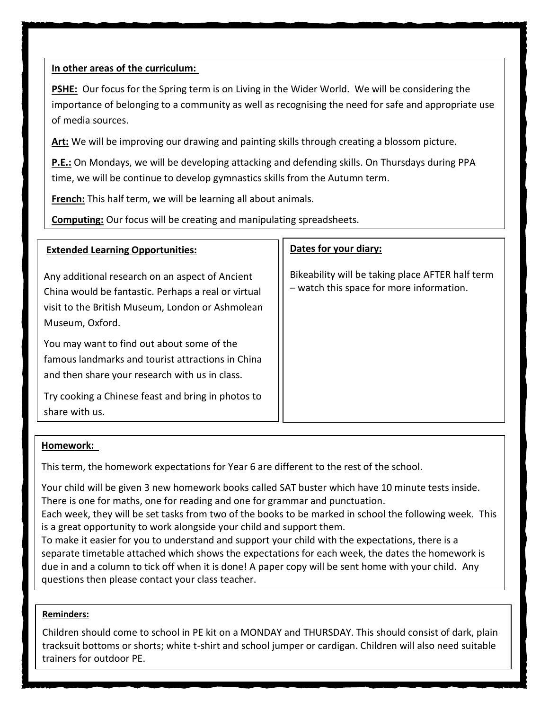### **In other areas of the curriculum:**

**PSHE:** Our focus for the Spring term is on Living in the Wider World. We will be considering the importance of belonging to a community as well as recognising the need for safe and appropriate use of media sources.

**Art:** We will be improving our drawing and painting skills through creating a blossom picture.

**P.E.:** On Mondays, we will be developing attacking and defending skills. On Thursdays during PPA time, we will be continue to develop gymnastics skills from the Autumn term.

**French:** This half term, we will be learning all about animals.

**Computing:** Our focus will be creating and manipulating spreadsheets.

| <b>Extended Learning Opportunities:</b>                                                                                                                                       | Dates for your diary:                                                                        |
|-------------------------------------------------------------------------------------------------------------------------------------------------------------------------------|----------------------------------------------------------------------------------------------|
| Any additional research on an aspect of Ancient<br>China would be fantastic. Perhaps a real or virtual<br>visit to the British Museum, London or Ashmolean<br>Museum, Oxford. | Bikeability will be taking place AFTER half term<br>- watch this space for more information. |
| You may want to find out about some of the<br>famous landmarks and tourist attractions in China<br>and then share your research with us in class.                             |                                                                                              |
| Try cooking a Chinese feast and bring in photos to<br>share with us.                                                                                                          |                                                                                              |

#### **Homework:**

This term, the homework expectations for Year 6 are different to the rest of the school.

Your child will be given 3 new homework books called SAT buster which have 10 minute tests inside. There is one for maths, one for reading and one for grammar and punctuation.

Each week, they will be set tasks from two of the books to be marked in school the following week. This is a great opportunity to work alongside your child and support them.

To make it easier for you to understand and support your child with the expectations, there is a separate timetable attached which shows the expectations for each week, the dates the homework is due in and a column to tick off when it is done! A paper copy will be sent home with your child. Any questions then please contact your class teacher.

#### **Reminders:**

Children should come to school in PE kit on a MONDAY and THURSDAY. This should consist of dark, plain tracksuit bottoms or shorts; white t-shirt and school jumper or cardigan. Children will also need suitable trainers for outdoor PE.